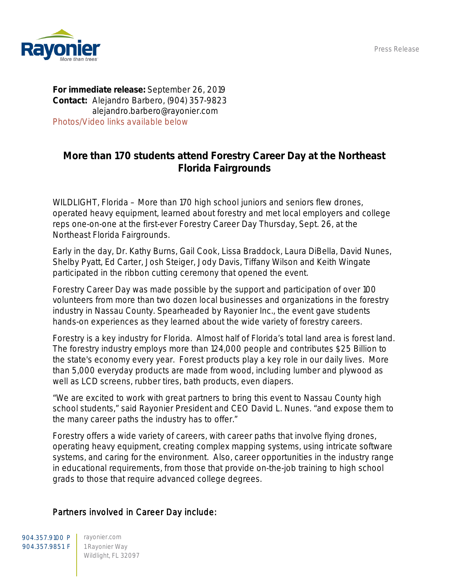Press Release



For immediate release: September 26, 2019 Contact: Alejandro Barbero, (904) 357-9823 alejandro.barbero@rayonier.com *Photos/Video links available below*

## More than 170 students attend Forestry Career Day at the Northeast Florida Fairgrounds

WILDLIGHT, Florida – More than 170 high school juniors and seniors flew drones, operated heavy equipment, learned about forestry and met local employers and college reps one-on-one at the first-ever Forestry Career Day Thursday, Sept. 26, at the Northeast Florida Fairgrounds.

Early in the day, Dr. Kathy Burns, Gail Cook, Lissa Braddock, Laura DiBella, David Nunes, Shelby Pyatt, Ed Carter, Josh Steiger, Jody Davis, Tiffany Wilson and Keith Wingate participated in the ribbon cutting ceremony that opened the event.

Forestry Career Day was made possible by the support and participation of over 100 volunteers from more than two dozen local businesses and organizations in the forestry industry in Nassau County. Spearheaded by Rayonier Inc., the event gave students hands-on experiences as they learned about the wide variety of forestry careers.

Forestry is a key industry for Florida. Almost half of Florida's total land area is forest land. The forestry industry employs more than 124,000 people and contributes \$25 Billion to the state's economy every year. Forest products play a key role in our daily lives. More than 5,000 everyday products are made from wood, including lumber and plywood as well as LCD screens, rubber tires, bath products, even diapers.

"We are excited to work with great partners to bring this event to Nassau County high school students," said Rayonier President and CEO David L. Nunes. "and expose them to the many career paths the industry has to offer."

Forestry offers a wide variety of careers, with career paths that involve flying drones, operating heavy equipment, creating complex mapping systems, using intricate software systems, and caring for the environment. Also, career opportunities in the industry range in educational requirements, from those that provide on-the-job training to high school grads to those that require advanced college degrees.

## Partners involved in Career Day include:

904.357.9100 P | rayonier.com 904.357.9851 F | 1 Rayonier Way Wildlight, FL 32097